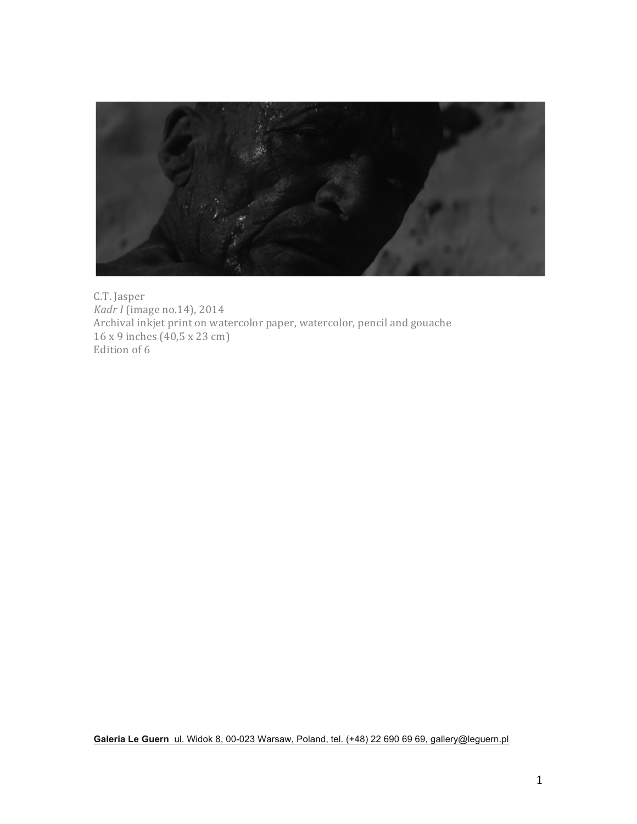

C.T. Jasper *Kadr I* (image no.14), 2014 Archival inkjet print on watercolor paper, watercolor, pencil and gouache 16 x 9 inches (40,5 x 23 cm) Edition of 6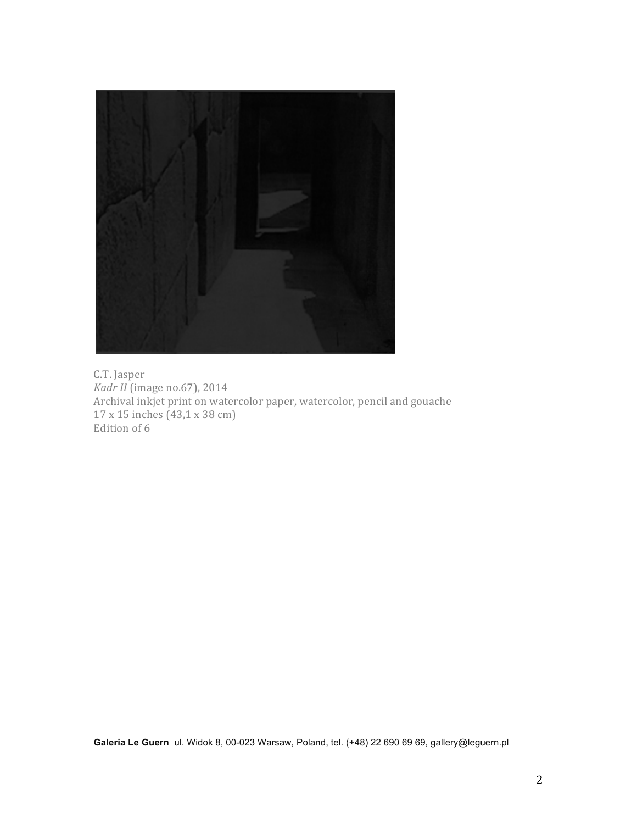

C.T. Jasper *Kadr II* (image no.67), 2014 Archival inkjet print on watercolor paper, watercolor, pencil and gouache 17 x 15 inches (43,1 x 38 cm) Edition of 6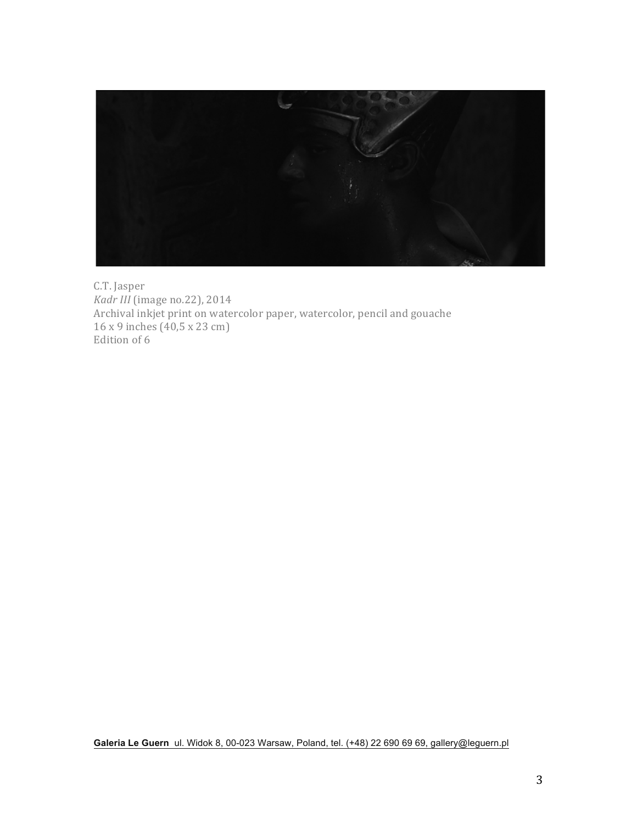

C.T. Jasper *Kadr III* (image no.22), 2014 Archival inkjet print on watercolor paper, watercolor, pencil and gouache  $16 \times 9$  inches  $(40.5 \times 23$  cm) Edition of 6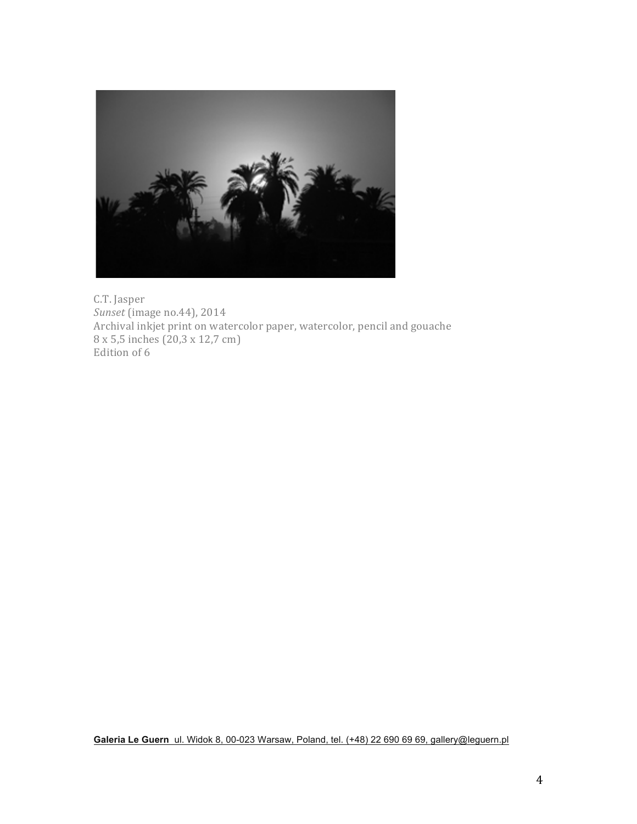

C.T. Jasper *Sunset* (image no.44), 2014 Archival inkjet print on watercolor paper, watercolor, pencil and gouache 8 x 5,5 inches (20,3 x 12,7 cm) Edition of 6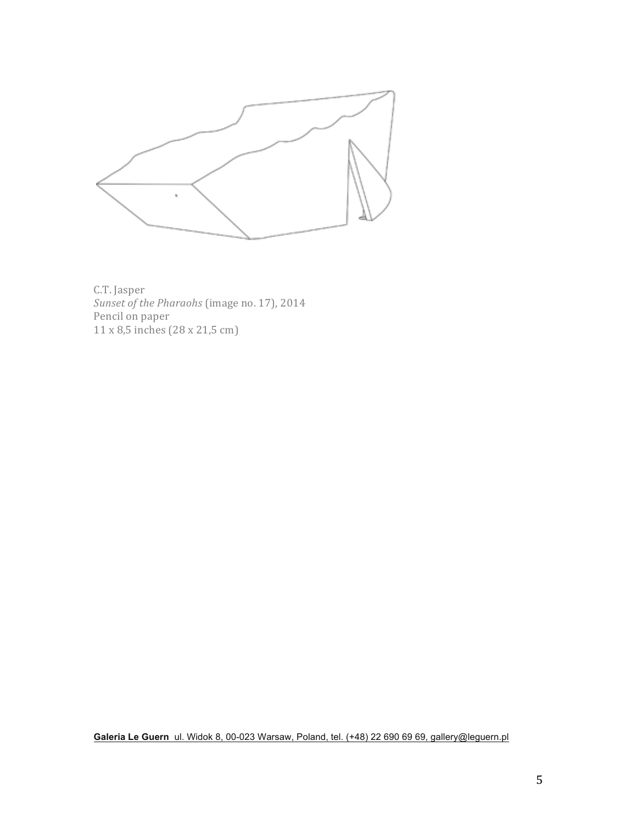

C.T. Jasper *Sunset of the Pharaohs* (image no. 17), 2014 Pencil on paper 11 x 8,5 inches (28 x 21,5 cm)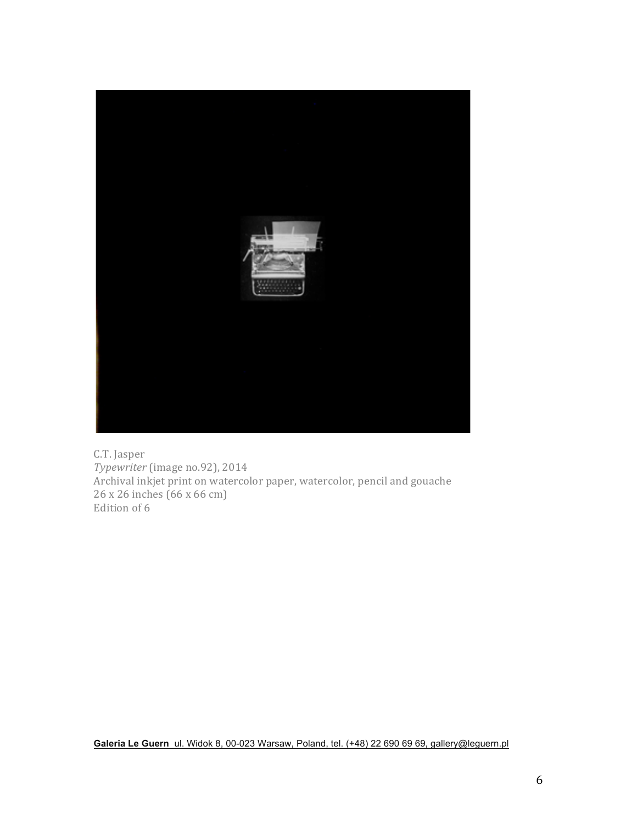

C.T. Jasper *Typewriter* (image no.92), 2014 Archival inkjet print on watercolor paper, watercolor, pencil and gouache  $26 \times 26$  inches  $(66 \times 66$  cm) Edition of 6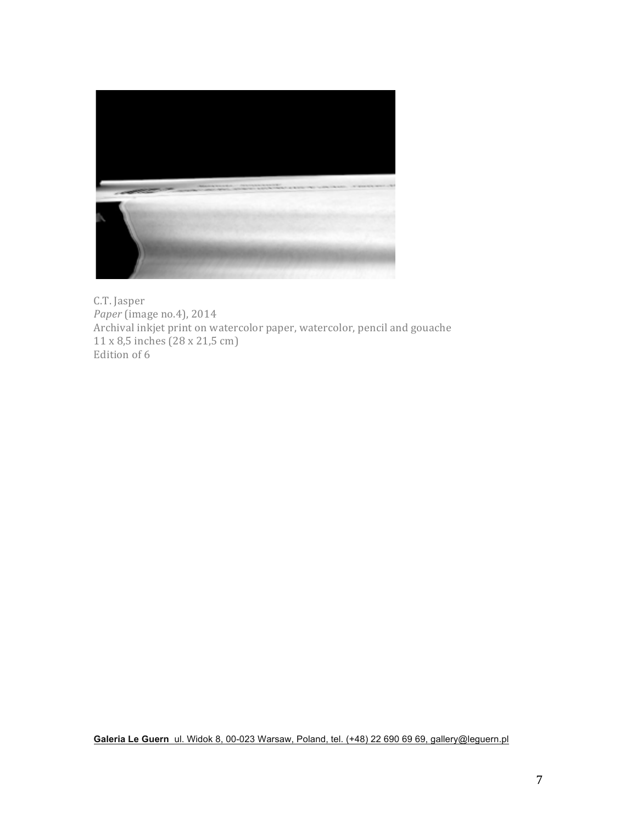

C.T. Jasper *Paper* (image no.4), 2014 Archival inkjet print on watercolor paper, watercolor, pencil and gouache 11 x 8,5 inches (28 x 21,5 cm) Edition of 6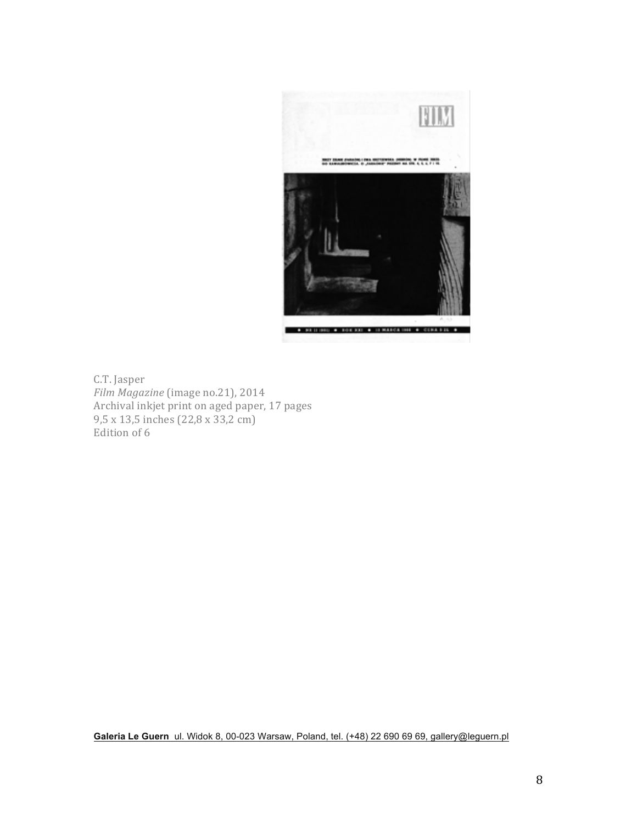

C.T. Jasper *Film Magazine* (image no.21), 2014 Archival inkjet print on aged paper, 17 pages  $9,5 \times 13,5 \text{ inches}$  (22,8  $\times 33,2 \text{ cm}$ ) Edition of 6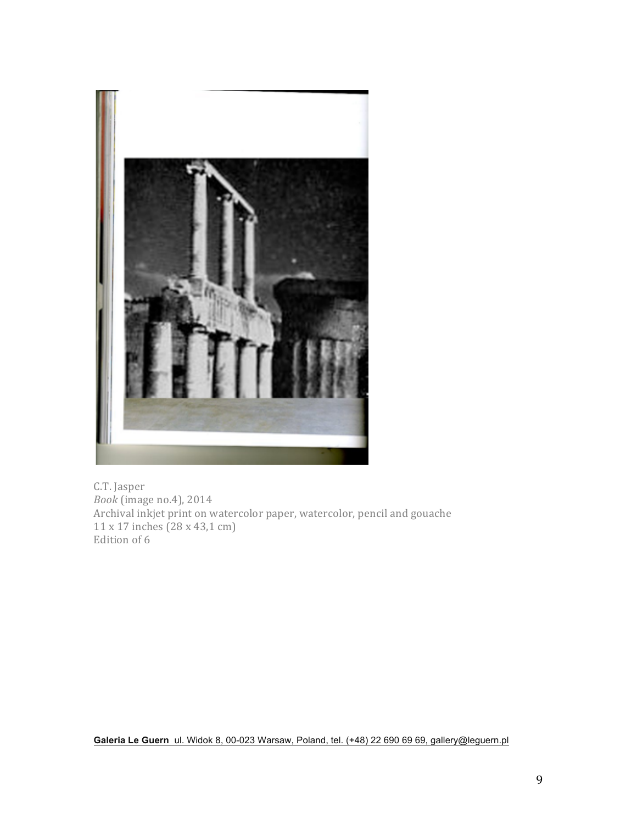

C.T. Jasper *Book* (image no.4), 2014 Archival inkjet print on watercolor paper, watercolor, pencil and gouache  $11 \times 17$  inches  $(28 \times 43, 1 \text{ cm})$ Edition of 6